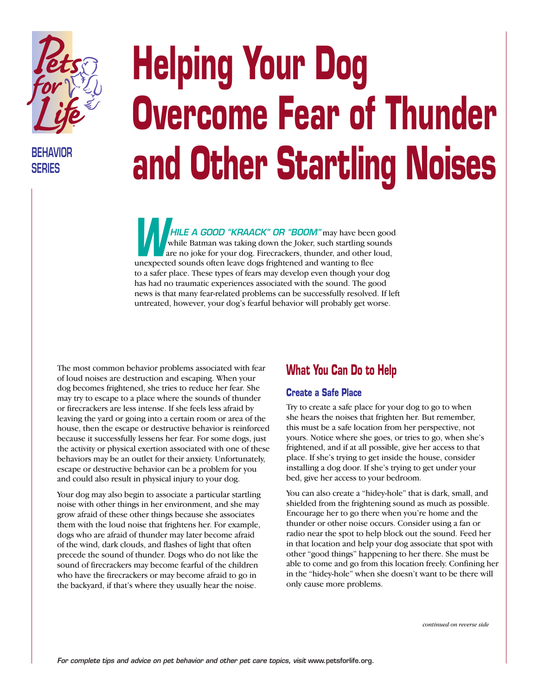

**BEHAVIOR SERIES**

# **Helping Your Dog Overcome Fear of Thunder and Other Startling Noises**

*HILE A GOOD "KRAACK" OR "BOOM"* may have been good while Batman was taking down the Joker, such startling sounds are no joke for your dog. Firecrackers, thunder, and other loud, while Batman was taking down the Joker, such startling so<br>are no joke for your dog. Firecrackers, thunder, and other l<br>unexpected sounds often leave dogs frightened and wanting to flee to a safer place. These types of fears may develop even though your dog has had no traumatic experiences associated with the sound. The good news is that many fear-related problems can be successfully resolved. If left untreated, however, your dog's fearful behavior will probably get worse.

The most common behavior problems associated with fear of loud noises are destruction and escaping. When your dog becomes frightened, she tries to reduce her fear. She may try to escape to a place where the sounds of thunder or firecrackers are less intense. If she feels less afraid by leaving the yard or going into a certain room or area of the house, then the escape or destructive behavior is reinforced because it successfully lessens her fear. For some dogs, just the activity or physical exertion associated with one of these behaviors may be an outlet for their anxiety. Unfortunately, escape or destructive behavior can be a problem for you and could also result in physical injury to your dog.

Your dog may also begin to associate a particular startling noise with other things in her environment, and she may grow afraid of these other things because she associates them with the loud noise that frightens her. For example, dogs who are afraid of thunder may later become afraid of the wind, dark clouds, and flashes of light that often precede the sound of thunder. Dogs who do not like the sound of firecrackers may become fearful of the children who have the firecrackers or may become afraid to go in the backyard, if that's where they usually hear the noise.

### **What You Can Do to Help**

#### **Create a Safe Place**

Try to create a safe place for your dog to go to when she hears the noises that frighten her. But remember, this must be a safe location from her perspective, not yours. Notice where she goes, or tries to go, when she's frightened, and if at all possible, give her access to that place. If she's trying to get inside the house, consider installing a dog door. If she's trying to get under your bed, give her access to your bedroom.

You can also create a "hidey-hole" that is dark, small, and shielded from the frightening sound as much as possible. Encourage her to go there when you're home and the thunder or other noise occurs. Consider using a fan or radio near the spot to help block out the sound. Feed her in that location and help your dog associate that spot with other "good things" happening to her there. She must be able to come and go from this location freely. Confining her in the "hidey-hole" when she doesn't want to be there will only cause more problems.

*continued on reverse side*